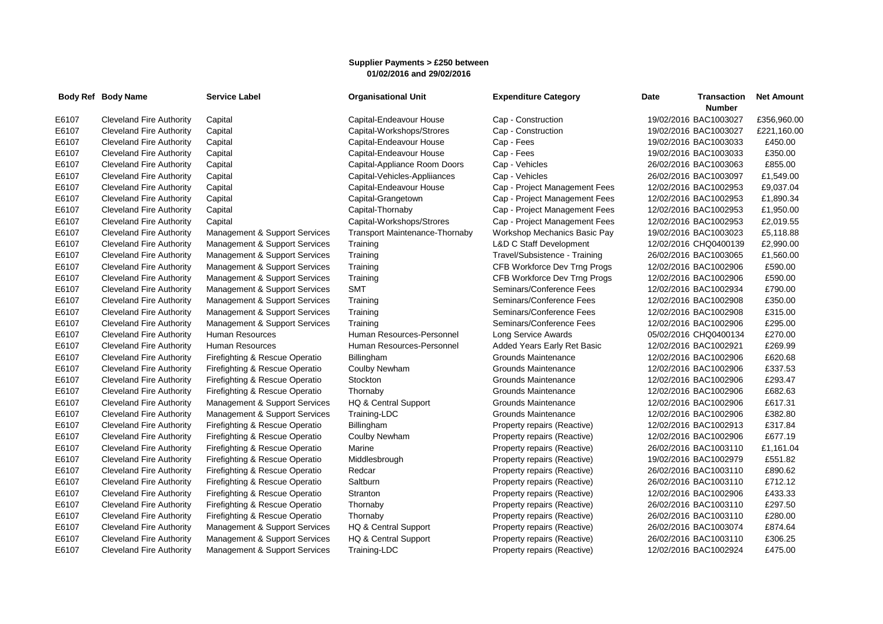## **Supplier Payments > £250 between 01/02/2016 and 29/02/2016**

|       | Body Ref Body Name              | <b>Service Label</b>           | <b>Organisational Unit</b>     | <b>Expenditure Category</b>        | Date<br><b>Transaction</b><br><b>Number</b> | <b>Net Amount</b> |
|-------|---------------------------------|--------------------------------|--------------------------------|------------------------------------|---------------------------------------------|-------------------|
| E6107 | <b>Cleveland Fire Authority</b> | Capital                        | Capital-Endeavour House        | Cap - Construction                 | 19/02/2016 BAC1003027                       | £356,960.00       |
| E6107 | <b>Cleveland Fire Authority</b> | Capital                        | Capital-Workshops/Strores      | Cap - Construction                 | 19/02/2016 BAC1003027                       | £221,160.00       |
| E6107 | <b>Cleveland Fire Authority</b> | Capital                        | Capital-Endeavour House        | Cap - Fees                         | 19/02/2016 BAC1003033                       | £450.00           |
| E6107 | <b>Cleveland Fire Authority</b> | Capital                        | Capital-Endeavour House        | Cap - Fees                         | 19/02/2016 BAC1003033                       | £350.00           |
| E6107 | <b>Cleveland Fire Authority</b> | Capital                        | Capital-Appliance Room Doors   | Cap - Vehicles                     | 26/02/2016 BAC1003063                       | £855.00           |
| E6107 | <b>Cleveland Fire Authority</b> | Capital                        | Capital-Vehicles-Appliiances   | Cap - Vehicles                     | 26/02/2016 BAC1003097                       | £1,549.00         |
| E6107 | Cleveland Fire Authority        | Capital                        | Capital-Endeavour House        | Cap - Project Management Fees      | 12/02/2016 BAC1002953                       | £9,037.04         |
| E6107 | <b>Cleveland Fire Authority</b> | Capital                        | Capital-Grangetown             | Cap - Project Management Fees      | 12/02/2016 BAC1002953                       | £1,890.34         |
| E6107 | <b>Cleveland Fire Authority</b> | Capital                        | Capital-Thornaby               | Cap - Project Management Fees      | 12/02/2016 BAC1002953                       | £1,950.00         |
| E6107 | Cleveland Fire Authority        | Capital                        | Capital-Workshops/Strores      | Cap - Project Management Fees      | 12/02/2016 BAC1002953                       | £2,019.55         |
| E6107 | <b>Cleveland Fire Authority</b> | Management & Support Services  | Transport Maintenance-Thornaby | Workshop Mechanics Basic Pay       | 19/02/2016 BAC1003023                       | £5,118.88         |
| E6107 | <b>Cleveland Fire Authority</b> | Management & Support Services  | Training                       | <b>L&amp;D C Staff Development</b> | 12/02/2016 CHQ0400139                       | £2,990.00         |
| E6107 | <b>Cleveland Fire Authority</b> | Management & Support Services  | Training                       | Travel/Subsistence - Training      | 26/02/2016 BAC1003065                       | £1,560.00         |
| E6107 | <b>Cleveland Fire Authority</b> | Management & Support Services  | Training                       | CFB Workforce Dev Trng Progs       | 12/02/2016 BAC1002906                       | £590.00           |
| E6107 | <b>Cleveland Fire Authority</b> | Management & Support Services  | Training                       | CFB Workforce Dev Trng Progs       | 12/02/2016 BAC1002906                       | £590.00           |
| E6107 | Cleveland Fire Authority        | Management & Support Services  | <b>SMT</b>                     | Seminars/Conference Fees           | 12/02/2016 BAC1002934                       | £790.00           |
| E6107 | <b>Cleveland Fire Authority</b> | Management & Support Services  | Training                       | Seminars/Conference Fees           | 12/02/2016 BAC1002908                       | £350.00           |
| E6107 | <b>Cleveland Fire Authority</b> | Management & Support Services  | Training                       | Seminars/Conference Fees           | 12/02/2016 BAC1002908                       | £315.00           |
| E6107 | Cleveland Fire Authority        | Management & Support Services  | Training                       | Seminars/Conference Fees           | 12/02/2016 BAC1002906                       | £295.00           |
| E6107 | <b>Cleveland Fire Authority</b> | <b>Human Resources</b>         | Human Resources-Personnel      | Long Service Awards                | 05/02/2016 CHQ0400134                       | £270.00           |
| E6107 | <b>Cleveland Fire Authority</b> | <b>Human Resources</b>         | Human Resources-Personnel      | Added Years Early Ret Basic        | 12/02/2016 BAC1002921                       | £269.99           |
| E6107 | <b>Cleveland Fire Authority</b> | Firefighting & Rescue Operatio | Billingham                     | Grounds Maintenance                | 12/02/2016 BAC1002906                       | £620.68           |
| E6107 | <b>Cleveland Fire Authority</b> | Firefighting & Rescue Operatio | Coulby Newham                  | Grounds Maintenance                | 12/02/2016 BAC1002906                       | £337.53           |
| E6107 | Cleveland Fire Authority        | Firefighting & Rescue Operatio | <b>Stockton</b>                | Grounds Maintenance                | 12/02/2016 BAC1002906                       | £293.47           |
| E6107 | <b>Cleveland Fire Authority</b> | Firefighting & Rescue Operatio | Thornaby                       | Grounds Maintenance                | 12/02/2016 BAC1002906                       | £682.63           |
| E6107 | <b>Cleveland Fire Authority</b> | Management & Support Services  | HQ & Central Support           | Grounds Maintenance                | 12/02/2016 BAC1002906                       | £617.31           |
| E6107 | <b>Cleveland Fire Authority</b> | Management & Support Services  | Training-LDC                   | Grounds Maintenance                | 12/02/2016 BAC1002906                       | £382.80           |
| E6107 | <b>Cleveland Fire Authority</b> | Firefighting & Rescue Operatio | Billingham                     | Property repairs (Reactive)        | 12/02/2016 BAC1002913                       | £317.84           |
| E6107 | <b>Cleveland Fire Authority</b> | Firefighting & Rescue Operatio | Coulby Newham                  | Property repairs (Reactive)        | 12/02/2016 BAC1002906                       | £677.19           |
| E6107 | <b>Cleveland Fire Authority</b> | Firefighting & Rescue Operatio | Marine                         | Property repairs (Reactive)        | 26/02/2016 BAC1003110                       | £1,161.04         |
| E6107 | <b>Cleveland Fire Authority</b> | Firefighting & Rescue Operatio | Middlesbrough                  | Property repairs (Reactive)        | 19/02/2016 BAC1002979                       | £551.82           |
| E6107 | <b>Cleveland Fire Authority</b> | Firefighting & Rescue Operatio | Redcar                         | Property repairs (Reactive)        | 26/02/2016 BAC1003110                       | £890.62           |
| E6107 | <b>Cleveland Fire Authority</b> | Firefighting & Rescue Operatio | Saltburn                       | Property repairs (Reactive)        | 26/02/2016 BAC1003110                       | £712.12           |
| E6107 | <b>Cleveland Fire Authority</b> | Firefighting & Rescue Operatio | Stranton                       | Property repairs (Reactive)        | 12/02/2016 BAC1002906                       | £433.33           |
| E6107 | <b>Cleveland Fire Authority</b> | Firefighting & Rescue Operatio | Thornaby                       | Property repairs (Reactive)        | 26/02/2016 BAC1003110                       | £297.50           |
| E6107 | <b>Cleveland Fire Authority</b> | Firefighting & Rescue Operatio | Thornaby                       | Property repairs (Reactive)        | 26/02/2016 BAC1003110                       | £280.00           |
| E6107 | <b>Cleveland Fire Authority</b> | Management & Support Services  | HQ & Central Support           | Property repairs (Reactive)        | 26/02/2016 BAC1003074                       | £874.64           |
| E6107 | <b>Cleveland Fire Authority</b> | Management & Support Services  | HQ & Central Support           | Property repairs (Reactive)        | 26/02/2016 BAC1003110                       | £306.25           |
| E6107 | <b>Cleveland Fire Authority</b> | Management & Support Services  | Training-LDC                   | Property repairs (Reactive)        | 12/02/2016 BAC1002924                       | £475.00           |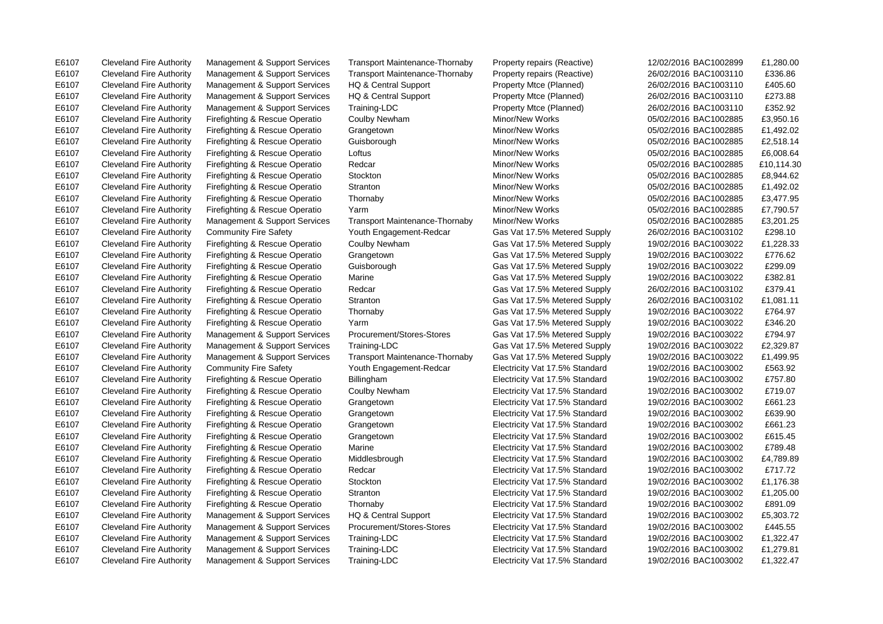E6107 Cleveland Fire Authority Management & Support Services Transport Maintenance-Thornaby Property repairs (Reactive) 12/02/2016 BAC1002899 £1,280.00 E6107 Cleveland Fire Authority Management & Support Services Transport Maintenance-Thornaby Property repairs (Reactive) 26/02/2016 BAC1003110 £336.86 E6107 Cleveland Fire Authority Management & Support Services HQ & Central Support Property Mtce (Planned) 26/02/2016 BAC1003110 £405.60 E6107 Cleveland Fire Authority Management & Support Services HQ & Central Support Property Mtce (Planned) 26/02/2016 BAC1003110 £273.88 E6107 Cleveland Fire Authority Management & Support Services Training-LDC Property Mtce (Planned) 26/02/2016 BAC1003110 £352.92 E6107 Cleveland Fire Authority Community Fire Safety Youth Engagement-Redcar Gas Vat 17.5% Metered Supply 26/02/2016 BAC1003102 £298.10 E6107 Cleveland Fire Authority Firefighting & Rescue Operatio Grangetown Gas Vat 17.5% Metered Supply 19/02/2016 BAC1003022 £776.62 E6107 Cleveland Fire Authority Firefighting & Rescue Operatio Guisborough Gas Vat 17.5% Metered Supply 19/02/2016 BAC1003022 £299.09 E6107 Cleveland Fire Authority Firefighting & Rescue Operatio Marine Gas Vat 17.5% Metered Supply 19/02/2016 BAC1003022 £382.81 E6107 Cleveland Fire Authority Firefighting & Rescue Operatio Redcar Gas Vat 17.5% Metered Supply 26/02/2016 BAC1003102 £379.41 E6107 Cleveland Fire Authority Firefighting & Rescue Operatio Stranton Gas Vat 17.5% Metered Supply 26/02/2016 BAC1003102 £1,081.11 E6107 Cleveland Fire Authority Firefighting & Rescue Operatio Thornaby Gas Vat 17.5% Metered Supply 19/02/2016 BAC1003022 £764.97 E6107 Cleveland Fire Authority Firefighting & Rescue Operatio Yarm Gas Vat 17.5% Metered Supply 19/02/2016 BAC1003022 £346.20 E6107 Cleveland Fire Authority Management & Support Services Procurement/Stores-Stores Gas Vat 17.5% Metered Supply 19/02/2016 BAC1003022 £794.97 E6107 Cleveland Fire Authority Community Fire Safety Youth Engagement-Redcar Electricity Vat 17.5% Standard 19/02/2016 BAC1003002 £563.92 E6107 Cleveland Fire Authority Firefighting & Rescue Operatio Billingham Electricity Vat 17.5% Standard 19/02/2016 BAC1003002 £757.80 E6107 Cleveland Fire Authority Firefighting & Rescue Operatio Coulby Newham Electricity Vat 17.5% Standard 19/02/2016 BAC1003002 £719.07 E6107 Cleveland Fire Authority Firefighting & Rescue Operatio Grangetown Electricity Vat 17.5% Standard 19/02/2016 BAC1003002 £661.23 E6107 Cleveland Fire Authority Firefighting & Rescue Operatio Grangetown Electricity Vat 17.5% Standard 19/02/2016 BAC1003002 £639.90 E6107 Cleveland Fire Authority Firefighting & Rescue Operatio Grangetown Electricity Vat 17.5% Standard 19/02/2016 BAC1003002 £661.23 E6107 Cleveland Fire Authority Firefighting & Rescue Operatio Grangetown Electricity Vat 17.5% Standard 19/02/2016 BAC1003002 £615.45 E6107 Cleveland Fire Authority Firefighting & Rescue Operatio Marine Electricity Vat 17.5% Standard 19/02/2016 BAC1003002 £789.48 E6107 Cleveland Fire Authority Firefighting & Rescue Operatio Redcar Electricity Vat 17.5% Standard 19/02/2016 BAC1003002 £717.72 E6107 Cleveland Fire Authority Firefighting & Rescue Operatio Thornaby Electricity Vat 17.5% Standard 19/02/2016 BAC1003002 £891.09 E6107 Cleveland Fire Authority Management & Support Services Procurement/Stores-Stores Electricity Vat 17.5% Standard 19/02/2016 BAC1003002 £445.55 E6107 Cleveland Fire Authority Management & Support Services Training-LDC Electricity Vat 17.5% Standard 19/02/2016 BAC1003002 £1,322.47

E6107 Cleveland Fire Authority Firefighting & Rescue Operatio Coulby Newham Minor/New Works 05/02/2016 BAC1002885 £3,950.16 E6107 Cleveland Fire Authority Firefighting & Rescue Operatio Grangetown Minor/New Works 05/02/2016 BAC1002885 £1,492.02 E6107 Cleveland Fire Authority Firefighting & Rescue Operatio Guisborough Minor/New Works 05/02/2016 BAC1002885 £2,518.14 E6107 Cleveland Fire Authority Firefighting & Rescue Operatio Loftus Communication Minor/New Works 05/02/2016 BAC1002885 £6.008.64 E6107 Cleveland Fire Authority Firefighting & Rescue Operatio Redcar Minor/New Works 05/02/2016 BAC1002885 £10,114.30 E6107 Cleveland Fire Authority Firefighting & Rescue Operatio Stockton Minor/New Works 05/02/2016 BAC1002885 £8,944.62 E6107 Cleveland Fire Authority Firefighting & Rescue Operatio Stranton Minor/New Works 05/02/2016 BAC1002885 £1,492.02 E6107 Cleveland Fire Authority Firefighting & Rescue Operatio Thornaby Minor/New Works 05/02/2016 BAC1002885 £3,477.95 E6107 Cleveland Fire Authority Firefighting & Rescue Operatio Yarm Minor/New Works 05/02/2016 BAC1002885 £7,790.57 E6107 Cleveland Fire Authority Management & Support Services Transport Maintenance-Thornaby Minor/New Works 05/02/2016 BAC1002885 £3,201.25 E6107 Cleveland Fire Authority Firefighting & Rescue Operatio Coulby Newham Gas Vat 17.5% Metered Supply 19/02/2016 BAC1003022 £1,228.33 E6107 Cleveland Fire Authority Management & Support Services Training-LDC Gas Vat 17.5% Metered Supply 19/02/2016 BAC1003022 £2,329.87 E6107 Cleveland Fire Authority Management & Support Services Transport Maintenance-Thornaby Gas Vat 17.5% Metered Supply 19/02/2016 BAC1003022 £1,499.95 E6107 Cleveland Fire Authority Firefighting & Rescue Operatio Middlesbrough Electricity Vat 17.5% Standard 19/02/2016 BAC1003002 £4,789.89 E6107 Cleveland Fire Authority Firefighting & Rescue Operatio Stockton Electricity Vat 17.5% Standard 19/02/2016 BAC1003002 £1,176.38 E6107 Cleveland Fire Authority Firefighting & Rescue Operatio Stranton Electricity Vat 17.5% Standard 19/02/2016 BAC1003002 £1,205.00 E6107 Cleveland Fire Authority Management & Support Services HQ & Central Support Electricity Vat 17.5% Standard 19/02/2016 BAC1003002 £5,303.72 E6107 Cleveland Fire Authority Management & Support Services Training-LDC Electricity Vat 17.5% Standard 19/02/2016 BAC1003002 £1,322.47 E6107 Cleveland Fire Authority Management & Support Services Training-LDC Electricity Vat 17.5% Standard 19/02/2016 BAC1003002 £1.279.81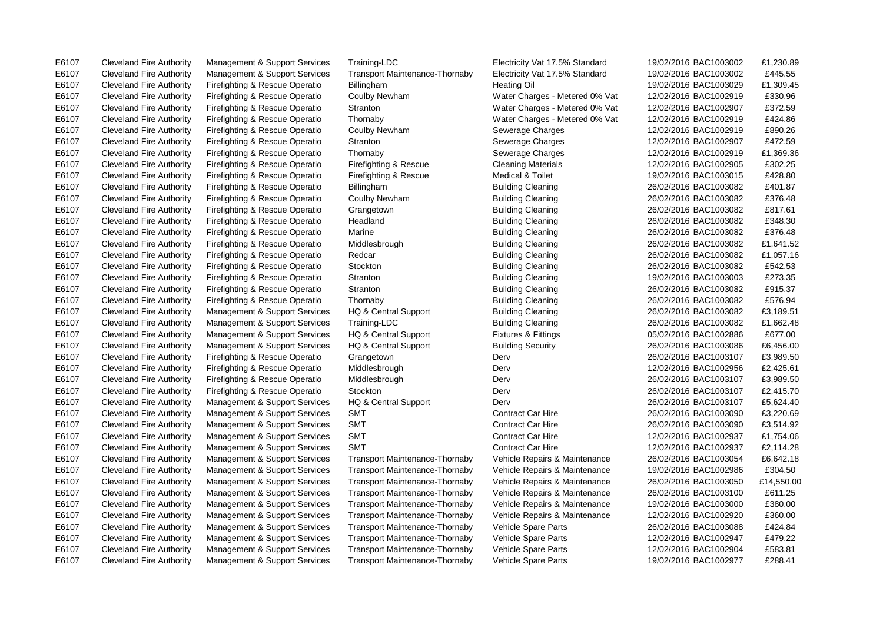E6107 Cleveland Fire Authority Management & Support Services Training-LDC Electricity Vat 17.5% Standard 19/02/2016 BAC1003002 £1,230.89 E6107 Cleveland Fire Authority Management & Support Services Transport Maintenance-Thornaby Electricity Vat 17.5% Standard 19/02/2016 BAC1003002 £445.55 E6107 Cleveland Fire Authority Firefighting & Rescue Operatio Coulby Newham Water Charges - Metered 0% Vat 12/02/2016 BAC1002919 £330.96 E6107 Cleveland Fire Authority Firefighting & Rescue Operatio Stranton Water Charges - Metered 0% Vat 12/02/2016 BAC1002907 £372.59 E6107 Cleveland Fire Authority Firefighting & Rescue Operatio Thornaby Water Charges - Metered 0% Vat 12/02/2016 BAC1002919 £424.86 E6107 Cleveland Fire Authority Firefighting & Rescue Operatio Coulby Newham Sewerage Charges 12/02/2016 BAC1002919 £890.26 E6107 Cleveland Fire Authority Firefighting & Rescue Operatio Stranton Sexerage Charges 12/02/2016 BAC1002907 £472.59 E6107 Cleveland Fire Authority Firefighting & Rescue Operatio Firefighting & Rescue Cleaning Materials 12/02/2016 BAC1002905 £302.25 E6107 Cleveland Fire Authority Firefighting & Rescue Operatio Firefighting & Rescue Medical & Toilet 19/02/2016 BAC1003015 £428.80 E6107 Cleveland Fire Authority Firefighting & Rescue Operatio Billingham Building Cleaning 26/02/2016 BAC1003082 £401.87 E6107 Cleveland Fire Authority Firefighting & Rescue Operatio Coulby Newham Building Cleaning 26/02/2016 BAC1003082 £376.48 E6107 Cleveland Fire Authority Firefighting & Rescue Operatio Grangetown Building Cleaning 26/02/2016 BAC1003082 £817.61 E6107 Cleveland Fire Authority Firefighting & Rescue Operatio Headland Building Cleaning 26/02/2016 BAC1003082 £348.30 E6107 Cleveland Fire Authority Firefighting & Rescue Operatio Marine Building Cleaning 26/02/2016 BAC1003082 £376.48 E6107 Cleveland Fire Authority Firefighting & Rescue Operatio Stockton Building Cleaning 26/02/2016 BAC1003082 £542.53 E6107 Cleveland Fire Authority Firefighting & Rescue Operatio Stranton Building Cleaning 19/02/2016 BAC1003003 £273.35 E6107 Cleveland Fire Authority Firefighting & Rescue Operatio Stranton Building Cleaning 26/02/2016 BAC1003082 £915.37 E6107 Cleveland Fire Authority Firefighting & Rescue Operatio Thornaby Building Cleaning 26/02/2016 BAC1003082 £576.94 E6107 Cleveland Fire Authority Management & Support Services HQ & Central Support Fixtures & Fittings 05/02/2016 BAC1002886 £677.00 E6107 Cleveland Fire Authority Management & Support Services Transport Maintenance-Thornaby Vehicle Repairs & Maintenance 19/02/2016 BAC1002986 £304.50 E6107 Cleveland Fire Authority Management & Support Services Transport Maintenance-Thornaby Vehicle Repairs & Maintenance 26/02/2016 BAC1003100 £611.25 E6107 Cleveland Fire Authority Management & Support Services Transport Maintenance-Thornaby Vehicle Repairs & Maintenance 19/02/2016 BAC1003000 £380.00 E6107 Cleveland Fire Authority Management & Support Services Transport Maintenance-Thornaby Vehicle Repairs & Maintenance 12/02/2016 BAC1002920 £360.00 E6107 Cleveland Fire Authority Management & Support Services Transport Maintenance-Thornaby Vehicle Spare Parts 26/02/2016 BAC1003088 £424.84 E6107 Cleveland Fire Authority Management & Support Services Transport Maintenance-Thornaby Vehicle Spare Parts 12/02/2016 BAC1002947 £479.22 E6107 Cleveland Fire Authority Management & Support Services Transport Maintenance-Thornaby Vehicle Spare Parts 12/02/2016 BAC1002904 £583.81

E6107 Cleveland Fire Authority Firefighting & Rescue Operatio Billingham Heating Oil Heating Oil 19/02/2016 BAC1003029 £1,309.45 E6107 Cleveland Fire Authority Firefighting & Rescue Operatio Thornaby Sewerage Charges 12/02/2016 BAC1002919 £1,369.36 E6107 Cleveland Fire Authority Firefighting & Rescue Operatio Middlesbrough Building Cleaning 26/02/2016 BAC1003082 £1,641.52 E6107 Cleveland Fire Authority Firefighting & Rescue Operatio Redcar Building Cleaning 26/02/2016 BAC1003082 £1,057.16 E6107 Cleveland Fire Authority Management & Support Services HQ & Central Support Building Cleaning 26/02/2016 BAC1003082 £3,189.51 E6107 Cleveland Fire Authority Management & Support Services Training-LDC Building Cleaning 26/02/2016 BAC1003082 £1,662.48 E6107 Cleveland Fire Authority Management & Support Services HQ & Central Support Building Security 26/02/2016 BAC1003086 £6,456.00 E6107 Cleveland Fire Authority Firefighting & Rescue Operatio Grangetown Derv Derv Derv 26/02/2016 BAC1003107 £3,989.50 E6107 Cleveland Fire Authority Firefighting & Rescue Operatio Middlesbrough Derv Derv Derv 12/02/2016 BAC1002956 £2,425.61 E6107 Cleveland Fire Authority Firefighting & Rescue Operatio Middlesbrough Derv Derv 26/02/2016 BAC1003107 £3,989.50 E6107 Cleveland Fire Authority Firefighting & Rescue Operatio Stockton Derv Derv Derv 26/02/2016 BAC1003107 £2,415.70 E6107 Cleveland Fire Authority Management & Support Services HQ & Central Support Derv Derv 26/02/2016 BAC1003107 £5,624.40 E6107 Cleveland Fire Authority Management & Support Services SMT Contract Car Hire 26/02/2016 BAC1003090 £3,220.69 E6107 Cleveland Fire Authority Management & Support Services SMT Contract Car Hire 26/02/2016 BAC1003090 £3,514.92 E6107 Cleveland Fire Authority Management & Support Services SMT Contract Car Hire 12/02/2016 BAC1002937 £1,754.06 E6107 Cleveland Fire Authority Management & Support Services SMT Contract Car Hire 12/02/2016 BAC1002937 £2,114.28 E6107 Cleveland Fire Authority Management & Support Services Transport Maintenance-Thornaby Vehicle Repairs & Maintenance 26/02/2016 BAC1003054 £6,642.18 E6107 Cleveland Fire Authority Management & Support Services Transport Maintenance-Thornaby Vehicle Repairs & Maintenance 26/02/2016 BAC1003050 £14,550.00 E6107 Cleveland Fire Authority Management & Support Services Transport Maintenance-Thornaby Vehicle Spare Parts 19/02/2016 BAC1002977 £288.41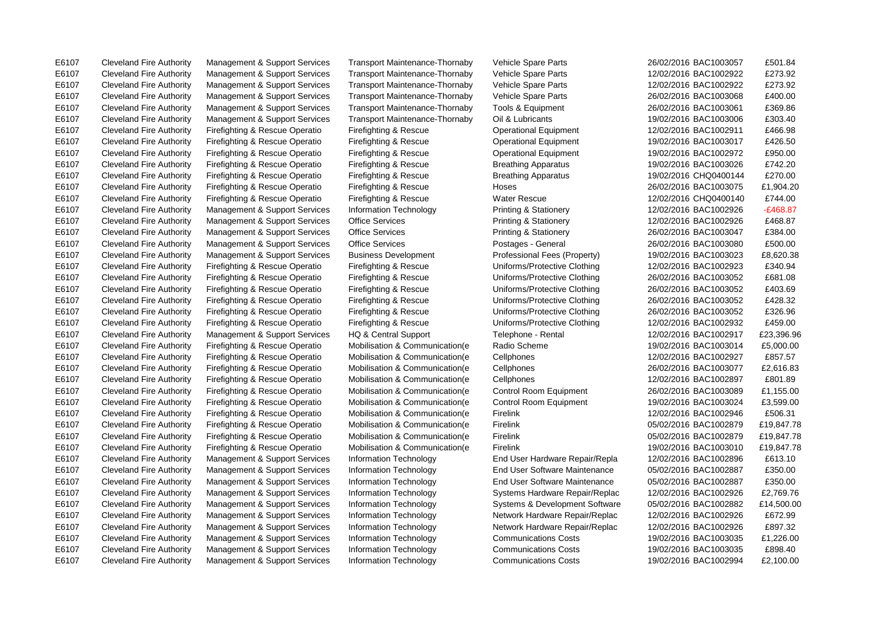E6107 Cleveland Fire Authority Management & Support Services Information Technology Communications Costs 19/02/2016 BAC1002994 £2,100.00

E6107 Cleveland Fire Authority Management & Support Services Transport Maintenance-Thornaby Vehicle Spare Parts 26/02/2016 BAC1003057 £501.84

E6107 Cleveland Fire Authority Management & Support Services Transport Maintenance-Thornaby Vehicle Spare Parts 12/02/2016 BAC1002922 £273.92 E6107 Cleveland Fire Authority Management & Support Services Transport Maintenance-Thornaby Vehicle Spare Parts 12/02/2016 BAC1002922 £273.92 E6107 Cleveland Fire Authority Management & Support Services Transport Maintenance-Thornaby Vehicle Spare Parts 26/02/2016 BAC1003068 £400.00 E6107 Cleveland Fire Authority Management & Support Services Transport Maintenance-Thornaby Tools & Equipment 26/02/2016 BAC1003061 £369.86 E6107 Cleveland Fire Authority Management & Support Services Transport Maintenance-Thornaby Oil & Lubricants 19/02/2016 BAC1003006 £303.40 E6107 Cleveland Fire Authority Firefighting & Rescue Operatio Firefighting & Rescue Operational Equipment 12/02/2016 BAC1002911 £466.98 E6107 Cleveland Fire Authority Firefighting & Rescue Operatio Firefighting & Rescue Operational Equipment 19/02/2016 BAC1003017 £426.50 E6107 Cleveland Fire Authority Firefighting & Rescue Operatio Firefighting & Rescue Operational Equipment 19/02/2016 BAC1002972 £950.00 E6107 Cleveland Fire Authority Firefighting & Rescue Operatio Firefighting & Rescue Breathing Apparatus 19/02/2016 BAC1003026 £742.20 E6107 Cleveland Fire Authority Firefighting & Rescue Operatio Firefighting & Rescue Breathing Apparatus 19/02/2016 CHQ0400144 £270.00 E6107 Cleveland Fire Authority Firefighting & Rescue Operatio Firefighting & Rescue Hoses 26/02/2016 BAC1003075 £1,904.20 E6107 Cleveland Fire Authority Firefighting & Rescue Operatio Firefighting & Rescue Water Rescue 12/02/2016 CHQ0400140 £744.00 E6107 Cleveland Fire Authority Management & Support Services Information Technology Printing & Stationery 12/02/2016 BAC1002926 -£468.87 E6107 Cleveland Fire Authority Management & Support Services Office Services Printing & Stationery 12/02/2016 BAC1002926 £468.87 E6107 Cleveland Fire Authority Management & Support Services Office Services Printing & Stationery 26/02/2016 BAC1003047 £384.00 E6107 Cleveland Fire Authority Management & Support Services Office Services Postages - General 26/02/2016 BAC1003080 £500.00 E6107 Cleveland Fire Authority Management & Support Services Business Development Professional Fees (Property) 19/02/2016 BAC1003023 £8,620.38 E6107 Cleveland Fire Authority Firefighting & Rescue Operatio Firefighting & Rescue Uniforms/Protective Clothing 12/02/2016 BAC1002923 £340.94 E6107 Cleveland Fire Authority Firefighting & Rescue Operatio Firefighting & Rescue Uniforms/Protective Clothing 26/02/2016 BAC1003052 £681.08 E6107 Cleveland Fire Authority Firefighting & Rescue Operatio Firefighting & Rescue Uniforms/Protective Clothing 26/02/2016 BAC1003052 £403.69 E6107 Cleveland Fire Authority Firefighting & Rescue Operatio Firefighting & Rescue Uniforms/Protective Clothing 26/02/2016 BAC1003052 £428.32 E6107 Cleveland Fire Authority Firefighting & Rescue Operatio Firefighting & Rescue Uniforms/Protective Clothing 26/02/2016 BAC1003052 £326.96 E6107 Cleveland Fire Authority Firefighting & Rescue Operatio Firefighting & Rescue Uniforms/Protective Clothing 12/02/2016 BAC1002932 £459.00 E6107 Cleveland Fire Authority Management & Support Services HQ & Central Support Telephone - Rental 12/02/2016 BAC1002917 £23,396.96 E6107 Cleveland Fire Authority Firefighting & Rescue Operatio Mobilisation & Communication(e Radio Scheme 19/02/2016 BAC1003014 £5,000.00 E6107 Cleveland Fire Authority Firefighting & Rescue Operatio Mobilisation & Communication(e Cellphones 12/02/2016 BAC1002927 £857.57 E6107 Cleveland Fire Authority Firefighting & Rescue Operatio Mobilisation & Communication(e Cellphones 26/02/2016 BAC1003077 £2,616.83 E6107 Cleveland Fire Authority Firefighting & Rescue Operatio Mobilisation & Communication(e Cellphones 12/02/2016 BAC1002897 £801.89 E6107 Cleveland Fire Authority Firefighting & Rescue Operatio Mobilisation & Communication(e Control Room Equipment 26/02/2016 BAC1003089 £1,155.00 E6107 Cleveland Fire Authority Firefighting & Rescue Operatio Mobilisation & Communication(e Control Room Equipment 19/02/2016 BAC1003024 £3,599.00 E6107 Cleveland Fire Authority Firefighting & Rescue Operatio Mobilisation & Communication e Firelink 12/02/2016 BAC1002946 £506.31 E6107 Cleveland Fire Authority Firefighting & Rescue Operatio Mobilisation & Communication(e Firelink 05/02/2016 BAC1002879 £19,847.78 E6107 Cleveland Fire Authority Firefighting & Rescue Operatio Mobilisation & Communication(e Firelink 05/02/2016 BAC1002879 £19,847.78 E6107 Cleveland Fire Authority Firefighting & Rescue Operatio Mobilisation & Communication(e Firelink 19/02/2016 BAC1003010 £19,847.78 E6107 Cleveland Fire Authority Management & Support Services Information Technology End User Hardware Repair/Repla 12/02/2016 BAC1002896 £613.10 E6107 Cleveland Fire Authority Management & Support Services Information Technology End User Software Maintenance 05/02/2016 BAC1002887 £350.00 E6107 Cleveland Fire Authority Management & Support Services Information Technology End User Software Maintenance 05/02/2016 BAC1002887 £350.00 E6107 Cleveland Fire Authority Management & Support Services Information Technology Systems Hardware Repair/Replac 12/02/2016 BAC1002926 £2,769.76 E6107 Cleveland Fire Authority Management & Support Services Information Technology Systems & Development Software 05/02/2016 BAC1002882 £14,500.00 E6107 Cleveland Fire Authority Management & Support Services Information Technology Network Hardware Repair/Replac 12/02/2016 BAC1002926 £672.99 E6107 Cleveland Fire Authority Management & Support Services Information Technology Network Hardware Repair/Replac 12/02/2016 BAC1002926 £897.32 E6107 Cleveland Fire Authority Management & Support Services Information Technology Communications Costs 19/02/2016 BAC1003035 £1,226.00 E6107 Cleveland Fire Authority Management & Support Services Information Technology Communications Costs 19/02/2016 BAC1003035 £898.40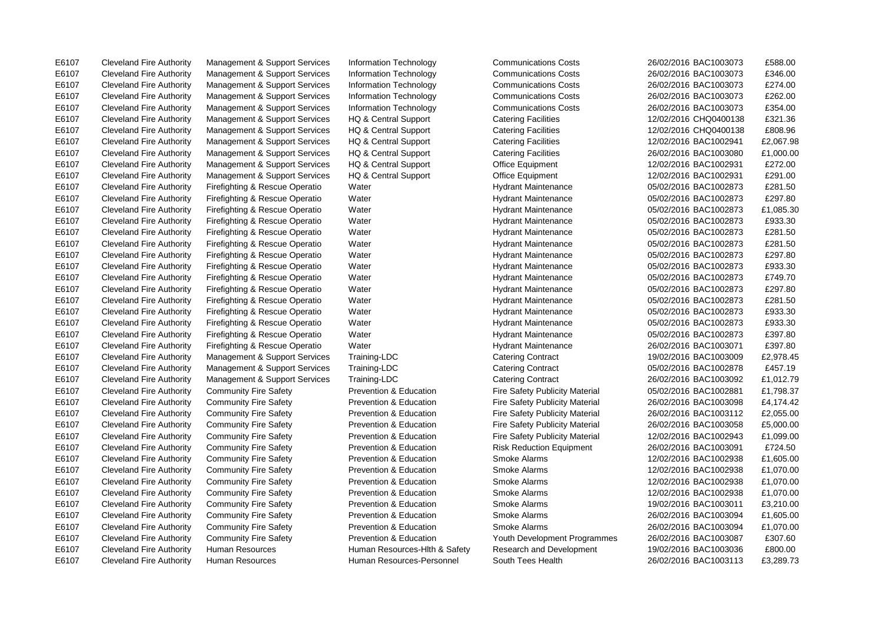E6107 Cleveland Fire Authority Management & Support Services Information Technology Communications Costs 26/02/2016 BAC1003073 £588.00

E6107 Cleveland Fire Authority Management & Support Services Information Technology Communications Costs 26/02/2016 BAC1003073 £346.00 E6107 Cleveland Fire Authority Management & Support Services Information Technology Communications Costs 26/02/2016 BAC1003073 £274.00 E6107 Cleveland Fire Authority Management & Support Services Information Technology Communications Costs 26/02/2016 BAC1003073 £262.00 E6107 Cleveland Fire Authority Management & Support Services Information Technology Communications Costs 26/02/2016 BAC1003073 £354.00 E6107 Cleveland Fire Authority Management & Support Services HQ & Central Support Catering Facilities 12/02/2016 CHQ0400138 £321.36 E6107 Cleveland Fire Authority Management & Support Services HQ & Central Support Catering Facilities 12/02/2016 CHQ0400138 £808.96 E6107 Cleveland Fire Authority Management & Support Services HQ & Central Support Catering Facilities 12/02/2016 BAC1002941 £2,067.98 E6107 Cleveland Fire Authority Management & Support Services HQ & Central Support Catering Facilities 26/02/2016 BAC1003080 £1,000.00 E6107 Cleveland Fire Authority Management & Support Services HQ & Central Support Office Equipment 12/02/2016 BAC1002931 £272.00 E6107 Cleveland Fire Authority Management & Support Services HQ & Central Support Office Equipment 12/02/2016 BAC1002931 £291.00 E6107 Cleveland Fire Authority Firefighting & Rescue Operatio Water National Hydrant Maintenance 05/02/2016 BAC1002873 £281.50 E6107 Cleveland Fire Authority Firefighting & Rescue Operatio Water National Hydrant Maintenance 05/02/2016 BAC1002873 £297.80 E6107 Cleveland Fire Authority Firefighting & Rescue Operatio Water Nater Hydrant Maintenance 05/02/2016 BAC1002873 £1,085.30 E6107 Cleveland Fire Authority Firefighting & Rescue Operatio Water Hydrant Maintenance 05/02/2016 BAC1002873 £933.30 E6107 Cleveland Fire Authority Firefighting & Rescue Operatio Water Hydrant Maintenance 05/02/2016 BAC1002873 £281.50 E6107 Cleveland Fire Authority Firefighting & Rescue Operatio Water National Hydrant Maintenance 05/02/2016 BAC1002873 £281.50 E6107 Cleveland Fire Authority Firefighting & Rescue Operatio Water Hydrant Maintenance 05/02/2016 BAC1002873 £297.80 E6107 Cleveland Fire Authority Firefighting & Rescue Operatio Water Hydrant Maintenance 05/02/2016 BAC1002873 £933.30 E6107 Cleveland Fire Authority Firefighting & Rescue Operatio Water Hydrant Maintenance 05/02/2016 BAC1002873 £749.70 E6107 Cleveland Fire Authority Firefighting & Rescue Operatio Water Hydrant Maintenance 05/02/2016 BAC1002873 £297.80 E6107 Cleveland Fire Authority Firefighting & Rescue Operatio Water Hydrant Maintenance 05/02/2016 BAC1002873 £281.50 E6107 Cleveland Fire Authority Firefighting & Rescue Operatio Water Hydrant Maintenance 05/02/2016 BAC1002873 £933.30 E6107 Cleveland Fire Authority Firefighting & Rescue Operatio Water Hydrant Maintenance 05/02/2016 BAC1002873 £933.30 E6107 Cleveland Fire Authority Firefighting & Rescue Operatio Water Hydrant Maintenance 05/02/2016 BAC1002873 £397.80 E6107 Cleveland Fire Authority Firefighting & Rescue Operatio Water Hydrant Maintenance 26/02/2016 BAC1003071 £397.80 E6107 Cleveland Fire Authority Management & Support Services Training-LDC Catering Contract 19/02/2016 BAC1003009 £2,978.45 E6107 Cleveland Fire Authority Management & Support Services Training-LDC Catering Contract 05/02/2016 BAC1002878 £457.19 E6107 Cleveland Fire Authority Management & Support Services Training-LDC Catering Contract 26/02/2016 BAC1003092 £1,012.79 E6107 Cleveland Fire Authority Community Fire Safety Prevention & Education Fire Safety Publicity Material 05/02/2016 BAC1002881 £1,798.37 E6107 Cleveland Fire Authority Community Fire Safety Prevention & Education Fire Safety Publicity Material 26/02/2016 BAC1003098 £4.174.42 E6107 Cleveland Fire Authority Community Fire Safety Prevention & Education Fire Safety Publicity Material 26/02/2016 BAC1003112 £2,055.00 E6107 Cleveland Fire Authority Community Fire Safety Prevention & Education Fire Safety Publicity Material 26/02/2016 BAC1003058 £5,000.00 E6107 Cleveland Fire Authority Community Fire Safety Prevention & Education Fire Safety Publicity Material 2/02/2016 BAC1002943 £1,099.00 E6107 Cleveland Fire Authority Community Fire Safety Prevention & Education Risk Reduction Equipment 26/02/2016 BAC1003091 £724.50 E6107 Cleveland Fire Authority Community Fire Safety Prevention & Education Smoke Alarms 31/02/2016 BAC1002938 £1,605.00 E6107 Cleveland Fire Authority Community Fire Safety Prevention & Education Smoke Alarms 12/02/2016 BAC1002938 £1,070.00 E6107 Cleveland Fire Authority Community Fire Safety Prevention & Education Smoke Alarms 12/02/2016 BAC1002938 £1,070.00 E6107 Cleveland Fire Authority Community Fire Safety Prevention & Education Smoke Alarms 12/02/2016 BAC1002938 £1,070.00 E6107 Cleveland Fire Authority Community Fire Safety Prevention & Education Smoke Alarms 19/02/2016 BAC1003011 £3,210.00 E6107 Cleveland Fire Authority Community Fire Safety Prevention & Education Smoke Alarms 26/02/2016 BAC1003094 £1,605.00 E6107 Cleveland Fire Authority Community Fire Safety Prevention & Education Smoke Alarms 26/02/2016 BAC1003094 £1,070.00 E6107 Cleveland Fire Authority Community Fire Safety Prevention & Education Youth Development Programmes 26/02/2016 BAC1003087 £307.60 E6107 Cleveland Fire Authority Human Resources Human Resources-Hlth & Safety Research and Development 19/02/2016 BAC1003036 £800.00 E6107 Cleveland Fire Authority Human Resources Human Resources-Personnel South Tees Health 26/02/2016 BAC1003113 £3,289.73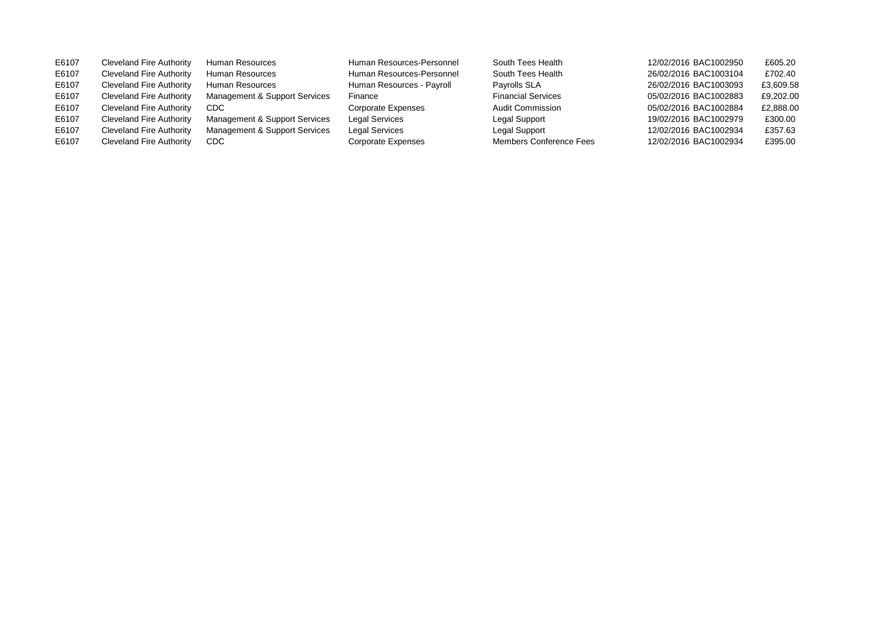| E6107 | Cleveland Fire Authority        | Human Resources               | Human Resources-Personnel | South Tees Health              | 12/02/2016 BAC1002950 | £605.20   |
|-------|---------------------------------|-------------------------------|---------------------------|--------------------------------|-----------------------|-----------|
| E6107 | Cleveland Fire Authority        | Human Resources               | Human Resources-Personnel | South Tees Health              | 26/02/2016 BAC1003104 | £702.40   |
| E6107 | Cleveland Fire Authority        | Human Resources               | Human Resources - Payroll | Payrolls SLA                   | 26/02/2016 BAC1003093 | £3,609.58 |
| E6107 | Cleveland Fire Authority        | Management & Support Services | Finance                   | <b>Financial Services</b>      | 05/02/2016 BAC1002883 | £9,202.00 |
| E6107 | <b>Cleveland Fire Authority</b> | CDC.                          | Corporate Expenses        | <b>Audit Commission</b>        | 05/02/2016 BAC1002884 | £2,888.00 |
| E6107 | Cleveland Fire Authority        | Management & Support Services | <b>Legal Services</b>     | Legal Support                  | 19/02/2016 BAC1002979 | £300.00   |
| E6107 | <b>Cleveland Fire Authority</b> | Management & Support Services | Legal Services            | Legal Support                  | 12/02/2016 BAC1002934 | £357.63   |
| E6107 | Cleveland Fire Authority        | CDC                           | <b>Corporate Expenses</b> | <b>Members Conference Fees</b> | 12/02/2016 BAC1002934 | £395.00   |
|       |                                 |                               |                           |                                |                       |           |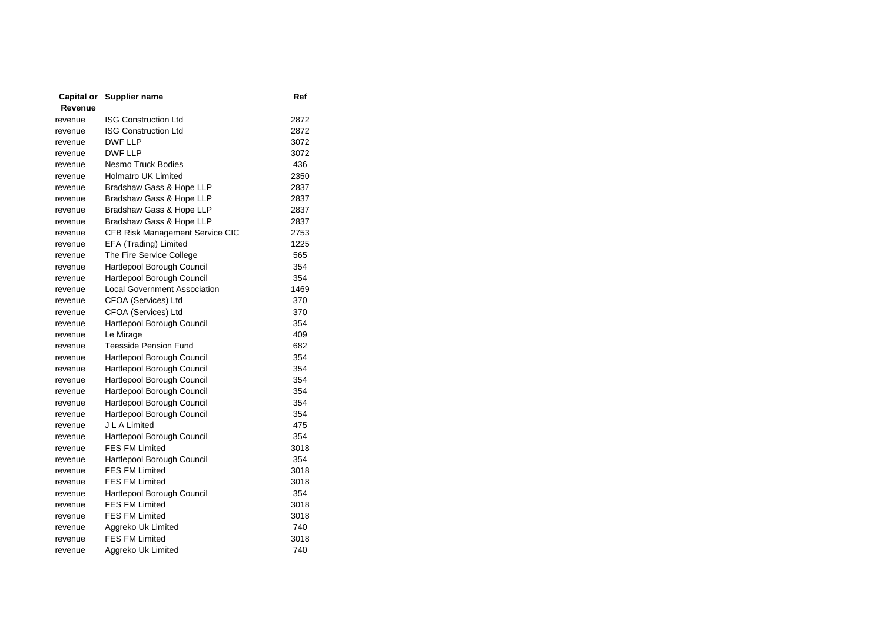| Capital or | Supplier name                   | Ref  |
|------------|---------------------------------|------|
| Revenue    |                                 |      |
| revenue    | <b>ISG Construction Ltd</b>     | 2872 |
| revenue    | <b>ISG Construction Ltd</b>     | 2872 |
| revenue    | <b>DWF LLP</b>                  | 3072 |
| revenue    | <b>DWF LLP</b>                  | 3072 |
| revenue    | Nesmo Truck Bodies              | 436  |
| revenue    | <b>Holmatro UK Limited</b>      | 2350 |
| revenue    | Bradshaw Gass & Hope LLP        | 2837 |
| revenue    | Bradshaw Gass & Hope LLP        | 2837 |
| revenue    | Bradshaw Gass & Hope LLP        | 2837 |
| revenue    | Bradshaw Gass & Hope LLP        | 2837 |
| revenue    | CFB Risk Management Service CIC | 2753 |
| revenue    | EFA (Trading) Limited           | 1225 |
| revenue    | The Fire Service College        | 565  |
| revenue    | Hartlepool Borough Council      | 354  |
| revenue    | Hartlepool Borough Council      | 354  |
| revenue    | Local Government Association    | 1469 |
| revenue    | CFOA (Services) Ltd             | 370  |
| revenue    | CFOA (Services) Ltd             | 370  |
| revenue    | Hartlepool Borough Council      | 354  |
| revenue    | Le Mirage                       | 409  |
| revenue    | <b>Teesside Pension Fund</b>    | 682  |
| revenue    | Hartlepool Borough Council      | 354  |
| revenue    | Hartlepool Borough Council      | 354  |
| revenue    | Hartlepool Borough Council      | 354  |
| revenue    | Hartlepool Borough Council      | 354  |
| revenue    | Hartlepool Borough Council      | 354  |
| revenue    | Hartlepool Borough Council      | 354  |
| revenue    | J L A Limited                   | 475  |
| revenue    | Hartlepool Borough Council      | 354  |
| revenue    | <b>FES FM Limited</b>           | 3018 |
| revenue    | Hartlepool Borough Council      | 354  |
| revenue    | <b>FES FM Limited</b>           | 3018 |
| revenue    | <b>FES FM Limited</b>           | 3018 |
| revenue    | Hartlepool Borough Council      | 354  |
| revenue    | <b>FES FM Limited</b>           | 3018 |
| revenue    | <b>FES FM Limited</b>           | 3018 |
| revenue    | Aggreko Uk Limited              | 740  |
| revenue    | <b>FES FM Limited</b>           | 3018 |
| revenue    | Aggreko Uk Limited              | 740  |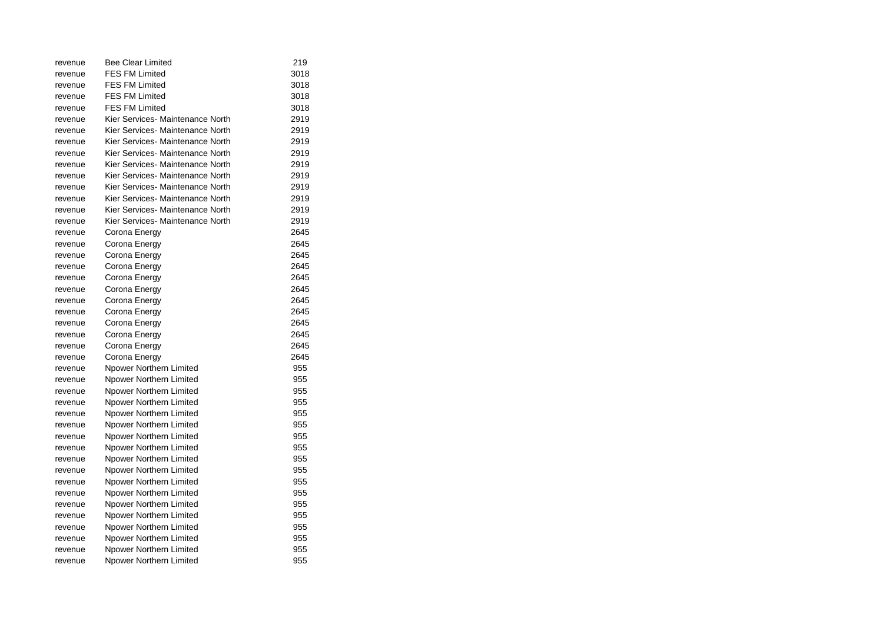| revenue | <b>Bee Clear Limited</b>         | 219  |
|---------|----------------------------------|------|
| revenue | <b>FES FM Limited</b>            | 3018 |
| revenue | <b>FES FM Limited</b>            | 3018 |
| revenue | <b>FES FM Limited</b>            | 3018 |
| revenue | <b>FES FM Limited</b>            | 3018 |
| revenue | Kier Services- Maintenance North | 2919 |
| revenue | Kier Services- Maintenance North | 2919 |
| revenue | Kier Services- Maintenance North | 2919 |
| revenue | Kier Services- Maintenance North | 2919 |
| revenue | Kier Services- Maintenance North | 2919 |
| revenue | Kier Services- Maintenance North | 2919 |
| revenue | Kier Services- Maintenance North | 2919 |
| revenue | Kier Services- Maintenance North | 2919 |
| revenue | Kier Services- Maintenance North | 2919 |
| revenue | Kier Services- Maintenance North | 2919 |
| revenue | Corona Energy                    | 2645 |
| revenue | Corona Energy                    | 2645 |
| revenue | Corona Energy                    | 2645 |
| revenue | Corona Energy                    | 2645 |
| revenue | Corona Energy                    | 2645 |
| revenue | Corona Energy                    | 2645 |
| revenue | Corona Energy                    | 2645 |
| revenue | Corona Energy                    | 2645 |
| revenue | Corona Energy                    | 2645 |
| revenue | Corona Energy                    | 2645 |
| revenue | Corona Energy                    | 2645 |
| revenue | Corona Energy                    | 2645 |
| revenue | Npower Northern Limited          | 955  |
| revenue | Npower Northern Limited          | 955  |
| revenue | Npower Northern Limited          | 955  |
| revenue | Npower Northern Limited          | 955  |
| revenue | Npower Northern Limited          | 955  |
| revenue | Npower Northern Limited          | 955  |
| revenue | Npower Northern Limited          | 955  |
| revenue | Npower Northern Limited          | 955  |
| revenue | Npower Northern Limited          | 955  |
| revenue | Npower Northern Limited          | 955  |
| revenue | Npower Northern Limited          | 955  |
| revenue | Npower Northern Limited          | 955  |
| revenue | Npower Northern Limited          | 955  |
| revenue | Npower Northern Limited          | 955  |
| revenue | Npower Northern Limited          | 955  |
| revenue | Npower Northern Limited          | 955  |
| revenue | Npower Northern Limited          | 955  |
| revenue | Npower Northern Limited          | 955  |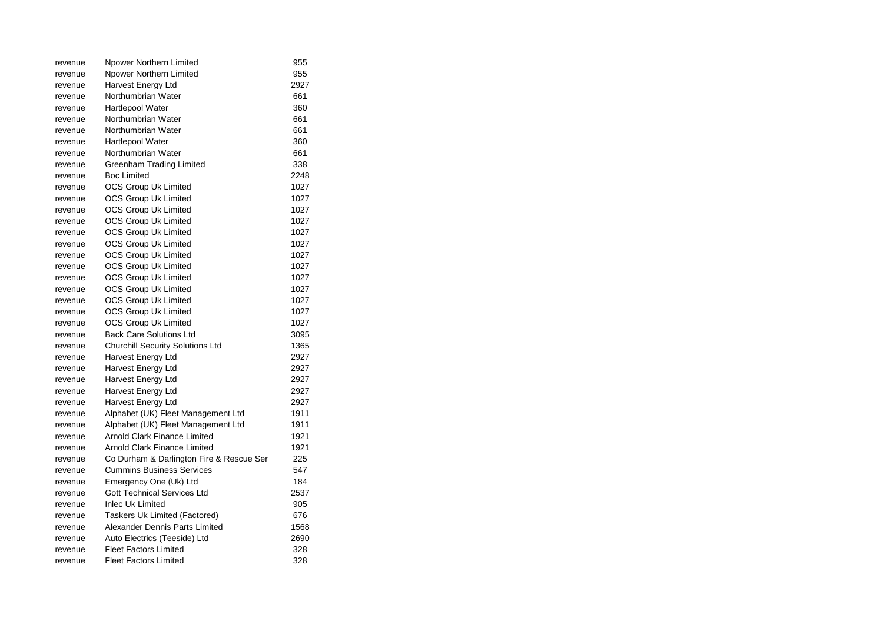| revenue | Npower Northern Limited                  | 955  |
|---------|------------------------------------------|------|
| revenue | Npower Northern Limited                  | 955  |
| revenue | Harvest Energy Ltd                       | 2927 |
| revenue | Northumbrian Water                       | 661  |
| revenue | <b>Hartlepool Water</b>                  | 360  |
| revenue | Northumbrian Water                       | 661  |
| revenue | Northumbrian Water                       | 661  |
| revenue | Hartlepool Water                         | 360  |
| revenue | Northumbrian Water                       | 661  |
| revenue | Greenham Trading Limited                 | 338  |
| revenue | <b>Boc Limited</b>                       | 2248 |
| revenue | <b>OCS Group Uk Limited</b>              | 1027 |
| revenue | <b>OCS Group Uk Limited</b>              | 1027 |
| revenue | OCS Group Uk Limited                     | 1027 |
| revenue | OCS Group Uk Limited                     | 1027 |
| revenue | <b>OCS Group Uk Limited</b>              | 1027 |
| revenue | <b>OCS Group Uk Limited</b>              | 1027 |
| revenue | OCS Group Uk Limited                     | 1027 |
| revenue | <b>OCS Group Uk Limited</b>              | 1027 |
| revenue | <b>OCS Group Uk Limited</b>              | 1027 |
| revenue | OCS Group Uk Limited                     | 1027 |
| revenue | OCS Group Uk Limited                     | 1027 |
| revenue | OCS Group Uk Limited                     | 1027 |
| revenue | OCS Group Uk Limited                     | 1027 |
| revenue | <b>Back Care Solutions Ltd</b>           | 3095 |
| revenue | <b>Churchill Security Solutions Ltd</b>  | 1365 |
| revenue | Harvest Energy Ltd                       | 2927 |
| revenue | Harvest Energy Ltd                       | 2927 |
| revenue | Harvest Energy Ltd                       | 2927 |
| revenue | Harvest Energy Ltd                       | 2927 |
| revenue | Harvest Energy Ltd                       | 2927 |
| revenue | Alphabet (UK) Fleet Management Ltd       | 1911 |
| revenue | Alphabet (UK) Fleet Management Ltd       | 1911 |
| revenue | Arnold Clark Finance Limited             | 1921 |
| revenue | <b>Arnold Clark Finance Limited</b>      | 1921 |
| revenue | Co Durham & Darlington Fire & Rescue Ser | 225  |
| revenue | <b>Cummins Business Services</b>         | 547  |
| revenue | Emergency One (Uk) Ltd                   | 184  |
| revenue | <b>Gott Technical Services Ltd</b>       | 2537 |
| revenue | <b>Inlec Uk Limited</b>                  | 905  |
| revenue | Taskers Uk Limited (Factored)            | 676  |
| revenue | Alexander Dennis Parts Limited           | 1568 |
| revenue | Auto Electrics (Teeside) Ltd             | 2690 |
| revenue | <b>Fleet Factors Limited</b>             | 328  |
| revenue | <b>Fleet Factors Limited</b>             | 328  |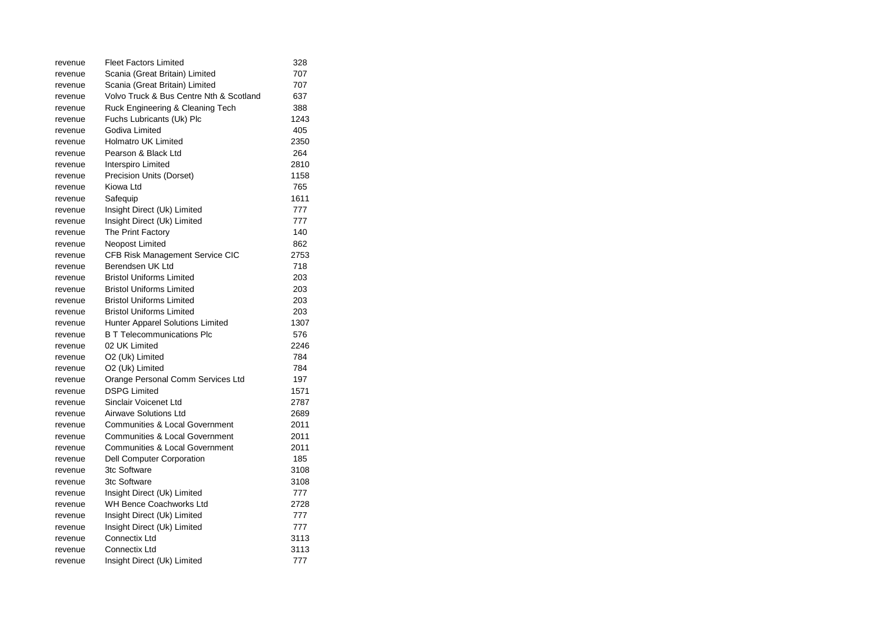| revenue | <b>Fleet Factors Limited</b>              | 328  |
|---------|-------------------------------------------|------|
| revenue | Scania (Great Britain) Limited            | 707  |
| revenue | Scania (Great Britain) Limited            | 707  |
| revenue | Volvo Truck & Bus Centre Nth & Scotland   | 637  |
| revenue | Ruck Engineering & Cleaning Tech          | 388  |
| revenue | Fuchs Lubricants (Uk) Plc                 | 1243 |
| revenue | Godiva Limited                            | 405  |
| revenue | <b>Holmatro UK Limited</b>                | 2350 |
| revenue | Pearson & Black Ltd                       | 264  |
| revenue | Interspiro Limited                        | 2810 |
| revenue | Precision Units (Dorset)                  | 1158 |
| revenue | Kiowa Ltd                                 | 765  |
| revenue | Safequip                                  | 1611 |
| revenue | Insight Direct (Uk) Limited               | 777  |
| revenue | Insight Direct (Uk) Limited               | 777  |
| revenue | The Print Factory                         | 140  |
| revenue | Neopost Limited                           | 862  |
| revenue | CFB Risk Management Service CIC           | 2753 |
| revenue | Berendsen UK Ltd                          | 718  |
| revenue | <b>Bristol Uniforms Limited</b>           | 203  |
| revenue | <b>Bristol Uniforms Limited</b>           | 203  |
| revenue | <b>Bristol Uniforms Limited</b>           | 203  |
| revenue | <b>Bristol Uniforms Limited</b>           | 203  |
| revenue | <b>Hunter Apparel Solutions Limited</b>   | 1307 |
| revenue | <b>B</b> T Telecommunications Plc         | 576  |
| revenue | 02 UK Limited                             | 2246 |
| revenue | O2 (Uk) Limited                           | 784  |
| revenue | O2 (Uk) Limited                           | 784  |
| revenue | Orange Personal Comm Services Ltd         | 197  |
| revenue | <b>DSPG Limited</b>                       | 1571 |
| revenue | Sinclair Voicenet Ltd                     | 2787 |
| revenue | <b>Airwave Solutions Ltd</b>              | 2689 |
| revenue | <b>Communities &amp; Local Government</b> | 2011 |
| revenue | <b>Communities &amp; Local Government</b> | 2011 |
| revenue | <b>Communities &amp; Local Government</b> | 2011 |
| revenue | Dell Computer Corporation                 | 185  |
| revenue | 3tc Software                              | 3108 |
| revenue | 3tc Software                              | 3108 |
| revenue | Insight Direct (Uk) Limited               | 777  |
| revenue | WH Bence Coachworks Ltd                   | 2728 |
| revenue | Insight Direct (Uk) Limited               | 777  |
| revenue | Insight Direct (Uk) Limited               | 777  |
| revenue | Connectix Ltd                             | 3113 |
| revenue | Connectix Ltd                             | 3113 |
| revenue | Insight Direct (Uk) Limited               | 777  |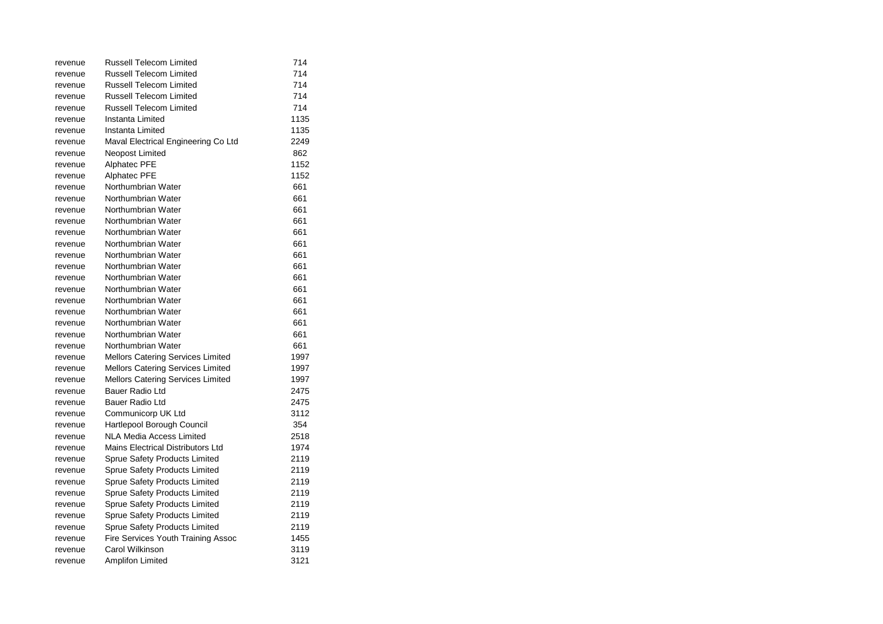| revenue | <b>Russell Telecom Limited</b>           | 714  |
|---------|------------------------------------------|------|
| revenue | <b>Russell Telecom Limited</b>           | 714  |
| revenue | <b>Russell Telecom Limited</b>           | 714  |
| revenue | <b>Russell Telecom Limited</b>           | 714  |
| revenue | <b>Russell Telecom Limited</b>           | 714  |
| revenue | Instanta Limited                         | 1135 |
| revenue | Instanta Limited                         | 1135 |
| revenue | Maval Electrical Engineering Co Ltd      | 2249 |
| revenue | Neopost Limited                          | 862  |
| revenue | Alphatec PFE                             | 1152 |
| revenue | Alphatec PFE                             | 1152 |
| revenue | Northumbrian Water                       | 661  |
| revenue | Northumbrian Water                       | 661  |
| revenue | Northumbrian Water                       | 661  |
| revenue | Northumbrian Water                       | 661  |
| revenue | Northumbrian Water                       | 661  |
| revenue | Northumbrian Water                       | 661  |
| revenue | Northumbrian Water                       | 661  |
| revenue | Northumbrian Water                       | 661  |
| revenue | Northumbrian Water                       | 661  |
| revenue | Northumbrian Water                       | 661  |
| revenue | Northumbrian Water                       | 661  |
| revenue | Northumbrian Water                       | 661  |
| revenue | Northumbrian Water                       | 661  |
| revenue | Northumbrian Water                       | 661  |
| revenue | Northumbrian Water                       | 661  |
| revenue | <b>Mellors Catering Services Limited</b> | 1997 |
| revenue | <b>Mellors Catering Services Limited</b> | 1997 |
| revenue | <b>Mellors Catering Services Limited</b> | 1997 |
| revenue | Bauer Radio Ltd                          | 2475 |
| revenue | Bauer Radio Ltd                          | 2475 |
| revenue | Communicorp UK Ltd                       | 3112 |
| revenue | Hartlepool Borough Council               | 354  |
| revenue | NLA Media Access Limited                 | 2518 |
| revenue | Mains Electrical Distributors Ltd        | 1974 |
| revenue | <b>Sprue Safety Products Limited</b>     | 2119 |
| revenue | <b>Sprue Safety Products Limited</b>     | 2119 |
| revenue | <b>Sprue Safety Products Limited</b>     | 2119 |
| revenue | Sprue Safety Products Limited            | 2119 |
| revenue | <b>Sprue Safety Products Limited</b>     | 2119 |
| revenue | Sprue Safety Products Limited            | 2119 |
| revenue | Sprue Safety Products Limited            | 2119 |
| revenue | Fire Services Youth Training Assoc       | 1455 |
| revenue | Carol Wilkinson                          | 3119 |
| revenue | Amplifon Limited                         | 3121 |